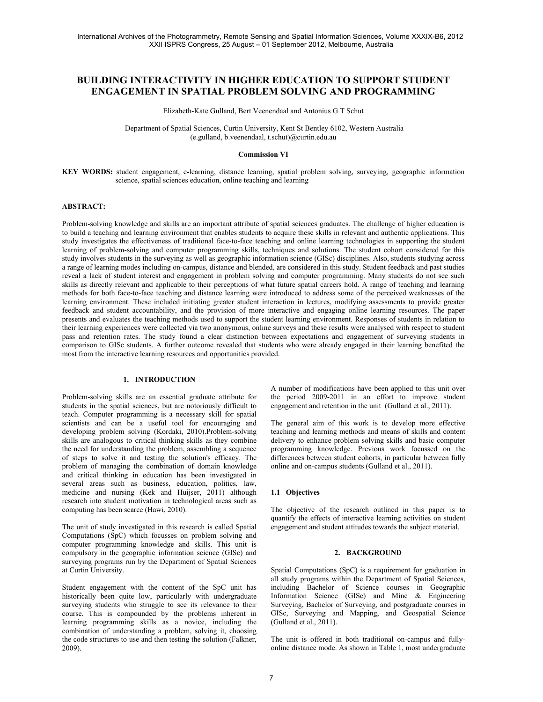# **BUILDING INTERACTIVITY IN HIGHER EDUCATION TO SUPPORT STUDENT ENGAGEMENT IN SPATIAL PROBLEM SOLVING AND PROGRAMMING**

Elizabeth-Kate Gulland, Bert Veenendaal and Antonius G T Schut

 Department of Spatial Sciences, Curtin University, Kent St Bentley 6102, Western Australia (e.gulland, b.veenendaal, t.schut)@curtin.edu.au

#### **Commission VI**

**KEY WORDS:** student engagement, e-learning, distance learning, spatial problem solving, surveying, geographic information science, spatial sciences education, online teaching and learning

# **ABSTRACT:**

Problem-solving knowledge and skills are an important attribute of spatial sciences graduates. The challenge of higher education is to build a teaching and learning environment that enables students to acquire these skills in relevant and authentic applications. This study investigates the effectiveness of traditional face-to-face teaching and online learning technologies in supporting the student learning of problem-solving and computer programming skills, techniques and solutions. The student cohort considered for this study involves students in the surveying as well as geographic information science (GISc) disciplines. Also, students studying across a range of learning modes including on-campus, distance and blended, are considered in this study. Student feedback and past studies reveal a lack of student interest and engagement in problem solving and computer programming. Many students do not see such skills as directly relevant and applicable to their perceptions of what future spatial careers hold. A range of teaching and learning methods for both face-to-face teaching and distance learning were introduced to address some of the perceived weaknesses of the learning environment. These included initiating greater student interaction in lectures, modifying assessments to provide greater feedback and student accountability, and the provision of more interactive and engaging online learning resources. The paper presents and evaluates the teaching methods used to support the student learning environment. Responses of students in relation to their learning experiences were collected via two anonymous, online surveys and these results were analysed with respect to student pass and retention rates. The study found a clear distinction between expectations and engagement of surveying students in comparison to GISc students. A further outcome revealed that students who were already engaged in their learning benefited the most from the interactive learning resources and opportunities provided.

# **1. INTRODUCTION**

Problem-solving skills are an essential graduate attribute for students in the spatial sciences, but are notoriously difficult to teach. Computer programming is a necessary skill for spatial scientists and can be a useful tool for encouraging and developing problem solving (Kordaki, 2010).Problem-solving skills are analogous to critical thinking skills as they combine the need for understanding the problem, assembling a sequence of steps to solve it and testing the solution's efficacy. The problem of managing the combination of domain knowledge and critical thinking in education has been investigated in several areas such as business, education, politics, law, medicine and nursing (Kek and Huijser, 2011) although research into student motivation in technological areas such as computing has been scarce (Hawi, 2010).

The unit of study investigated in this research is called Spatial Computations (SpC) which focusses on problem solving and computer programming knowledge and skills. This unit is compulsory in the geographic information science (GISc) and surveying programs run by the Department of Spatial Sciences at Curtin University.

Student engagement with the content of the SpC unit has historically been quite low, particularly with undergraduate surveying students who struggle to see its relevance to their course. This is compounded by the problems inherent in learning programming skills as a novice, including the combination of understanding a problem, solving it, choosing the code structures to use and then testing the solution (Falkner, 2009).

A number of modifications have been applied to this unit over the period 2009-2011 in an effort to improve student engagement and retention in the unit (Gulland et al., 2011).

The general aim of this work is to develop more effective teaching and learning methods and means of skills and content delivery to enhance problem solving skills and basic computer programming knowledge. Previous work focussed on the differences between student cohorts, in particular between fully online and on-campus students (Gulland et al., 2011).

# **1.1 Objectives**

The objective of the research outlined in this paper is to quantify the effects of interactive learning activities on student engagement and student attitudes towards the subject material.

## **2. BACKGROUND**

Spatial Computations (SpC) is a requirement for graduation in all study programs within the Department of Spatial Sciences, including Bachelor of Science courses in Geographic Information Science (GISc) and Mine & Engineering Surveying, Bachelor of Surveying, and postgraduate courses in GISc, Surveying and Mapping, and Geospatial Science (Gulland et al., 2011).

The unit is offered in both traditional on-campus and fullyonline distance mode. As shown in Table 1, most undergraduate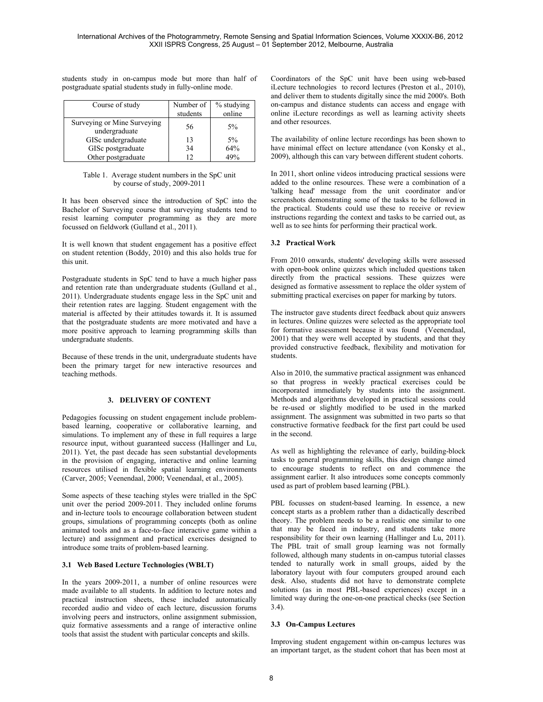students study in on-campus mode but more than half of postgraduate spatial students study in fully-online mode.

| Course of study                              | Number of<br>students | % studying<br>online |
|----------------------------------------------|-----------------------|----------------------|
| Surveying or Mine Surveying<br>undergraduate | 56                    | $5\%$                |
| GISc undergraduate                           | 13                    | $5\%$                |
| GISc postgraduate                            | 34                    | 64%                  |
| Other postgraduate                           | ר ו                   | 49%                  |

Table 1. Average student numbers in the SpC unit by course of study, 2009-2011

It has been observed since the introduction of SpC into the Bachelor of Surveying course that surveying students tend to resist learning computer programming as they are more focussed on fieldwork (Gulland et al., 2011).

It is well known that student engagement has a positive effect on student retention (Boddy, 2010) and this also holds true for this unit.

Postgraduate students in SpC tend to have a much higher pass and retention rate than undergraduate students (Gulland et al., 2011). Undergraduate students engage less in the SpC unit and their retention rates are lagging. Student engagement with the material is affected by their attitudes towards it. It is assumed that the postgraduate students are more motivated and have a more positive approach to learning programming skills than undergraduate students.

Because of these trends in the unit, undergraduate students have been the primary target for new interactive resources and teaching methods.

# **3. DELIVERY OF CONTENT**

Pedagogies focussing on student engagement include problembased learning, cooperative or collaborative learning, and simulations. To implement any of these in full requires a large resource input, without guaranteed success (Hallinger and Lu, 2011). Yet, the past decade has seen substantial developments in the provision of engaging, interactive and online learning resources utilised in flexible spatial learning environments (Carver, 2005; Veenendaal, 2000; Veenendaal, et al., 2005).

Some aspects of these teaching styles were trialled in the SpC unit over the period 2009-2011. They included online forums and in-lecture tools to encourage collaboration between student groups, simulations of programming concepts (both as online animated tools and as a face-to-face interactive game within a lecture) and assignment and practical exercises designed to introduce some traits of problem-based learning.

# **3.1 Web Based Lecture Technologies (WBLT)**

In the years 2009-2011, a number of online resources were made available to all students. In addition to lecture notes and practical instruction sheets, these included automatically recorded audio and video of each lecture, discussion forums involving peers and instructors, online assignment submission, quiz formative assessments and a range of interactive online tools that assist the student with particular concepts and skills.

Coordinators of the SpC unit have been using web-based iLecture technologies to record lectures (Preston et al., 2010), and deliver them to students digitally since the mid 2000's. Both on-campus and distance students can access and engage with online iLecture recordings as well as learning activity sheets and other resources.

The availability of online lecture recordings has been shown to have minimal effect on lecture attendance (von Konsky et al., 2009), although this can vary between different student cohorts.

In 2011, short online videos introducing practical sessions were added to the online resources. These were a combination of a 'talking head' message from the unit coordinator and/or screenshots demonstrating some of the tasks to be followed in the practical. Students could use these to receive or review instructions regarding the context and tasks to be carried out, as well as to see hints for performing their practical work.

# **3.2 Practical Work**

From 2010 onwards, students' developing skills were assessed with open-book online quizzes which included questions taken directly from the practical sessions. These quizzes were designed as formative assessment to replace the older system of submitting practical exercises on paper for marking by tutors.

The instructor gave students direct feedback about quiz answers in lectures. Online quizzes were selected as the appropriate tool for formative assessment because it was found (Veenendaal, 2001) that they were well accepted by students, and that they provided constructive feedback, flexibility and motivation for students.

Also in 2010, the summative practical assignment was enhanced so that progress in weekly practical exercises could be incorporated immediately by students into the assignment. Methods and algorithms developed in practical sessions could be re-used or slightly modified to be used in the marked assignment. The assignment was submitted in two parts so that constructive formative feedback for the first part could be used in the second.

As well as highlighting the relevance of early, building-block tasks to general programming skills, this design change aimed to encourage students to reflect on and commence the assignment earlier. It also introduces some concepts commonly used as part of problem based learning (PBL).

PBL focusses on student-based learning. In essence, a new concept starts as a problem rather than a didactically described theory. The problem needs to be a realistic one similar to one that may be faced in industry, and students take more responsibility for their own learning (Hallinger and Lu, 2011). The PBL trait of small group learning was not formally followed, although many students in on-campus tutorial classes tended to naturally work in small groups, aided by the laboratory layout with four computers grouped around each desk. Also, students did not have to demonstrate complete solutions (as in most PBL-based experiences) except in a limited way during the one-on-one practical checks (see Section 3.4).

# **3.3 On-Campus Lectures**

Improving student engagement within on-campus lectures was an important target, as the student cohort that has been most at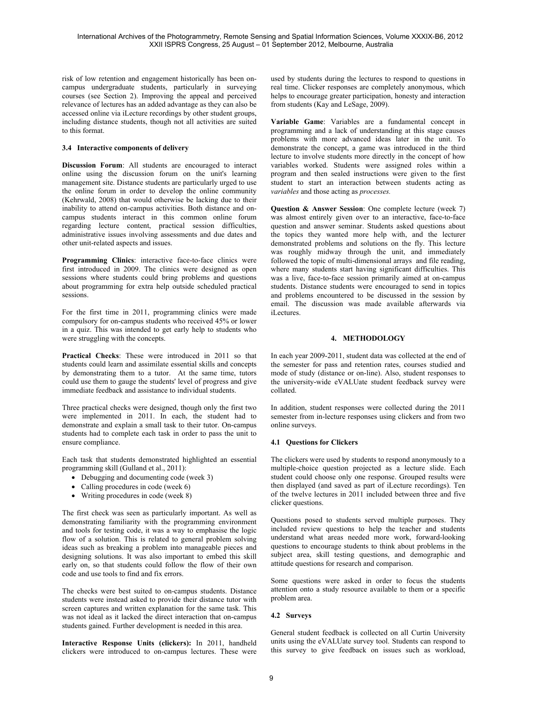risk of low retention and engagement historically has been oncampus undergraduate students, particularly in surveying courses (see Section 2). Improving the appeal and perceived relevance of lectures has an added advantage as they can also be accessed online via iLecture recordings by other student groups, including distance students, though not all activities are suited to this format.

# **3.4 Interactive components of delivery**

**Discussion Forum**: All students are encouraged to interact online using the discussion forum on the unit's learning management site. Distance students are particularly urged to use the online forum in order to develop the online community (Kehrwald, 2008) that would otherwise be lacking due to their inability to attend on-campus activities. Both distance and oncampus students interact in this common online forum regarding lecture content, practical session difficulties, administrative issues involving assessments and due dates and other unit-related aspects and issues.

**Programming Clinics**: interactive face-to-face clinics were first introduced in 2009. The clinics were designed as open sessions where students could bring problems and questions about programming for extra help outside scheduled practical sessions.

For the first time in 2011, programming clinics were made compulsory for on-campus students who received 45% or lower in a quiz. This was intended to get early help to students who were struggling with the concepts.

**Practical Checks**: These were introduced in 2011 so that students could learn and assimilate essential skills and concepts by demonstrating them to a tutor. At the same time, tutors could use them to gauge the students' level of progress and give immediate feedback and assistance to individual students.

Three practical checks were designed, though only the first two were implemented in 2011. In each, the student had to demonstrate and explain a small task to their tutor. On-campus students had to complete each task in order to pass the unit to ensure compliance.

Each task that students demonstrated highlighted an essential programming skill (Gulland et al., 2011):

- Debugging and documenting code (week 3)
- Calling procedures in code (week 6)
- Writing procedures in code (week 8)

The first check was seen as particularly important. As well as demonstrating familiarity with the programming environment and tools for testing code, it was a way to emphasise the logic flow of a solution. This is related to general problem solving ideas such as breaking a problem into manageable pieces and designing solutions. It was also important to embed this skill early on, so that students could follow the flow of their own code and use tools to find and fix errors.

The checks were best suited to on-campus students. Distance students were instead asked to provide their distance tutor with screen captures and written explanation for the same task. This was not ideal as it lacked the direct interaction that on-campus students gained. Further development is needed in this area.

**Interactive Response Units (clickers):** In 2011, handheld clickers were introduced to on-campus lectures. These were

used by students during the lectures to respond to questions in real time. Clicker responses are completely anonymous, which helps to encourage greater participation, honesty and interaction from students (Kay and LeSage, 2009).

**Variable Game**: Variables are a fundamental concept in programming and a lack of understanding at this stage causes problems with more advanced ideas later in the unit. To demonstrate the concept, a game was introduced in the third lecture to involve students more directly in the concept of how variables worked. Students were assigned roles within a program and then sealed instructions were given to the first student to start an interaction between students acting as *variables* and those acting as *processes.*

**Question & Answer Session**: One complete lecture (week 7) was almost entirely given over to an interactive, face-to-face question and answer seminar. Students asked questions about the topics they wanted more help with, and the lecturer demonstrated problems and solutions on the fly. This lecture was roughly midway through the unit, and immediately followed the topic of multi-dimensional arrays and file reading, where many students start having significant difficulties. This was a live, face-to-face session primarily aimed at on-campus students. Distance students were encouraged to send in topics and problems encountered to be discussed in the session by email. The discussion was made available afterwards via iLectures.

# **4. METHODOLOGY**

In each year 2009-2011, student data was collected at the end of the semester for pass and retention rates, courses studied and mode of study (distance or on-line). Also, student responses to the university-wide eVALUate student feedback survey were collated.

In addition, student responses were collected during the 2011 semester from in-lecture responses using clickers and from two online surveys.

#### **4.1 Questions for Clickers**

The clickers were used by students to respond anonymously to a multiple-choice question projected as a lecture slide. Each student could choose only one response. Grouped results were then displayed (and saved as part of iLecture recordings). Ten of the twelve lectures in 2011 included between three and five clicker questions.

Questions posed to students served multiple purposes. They included review questions to help the teacher and students understand what areas needed more work, forward-looking questions to encourage students to think about problems in the subject area, skill testing questions, and demographic and attitude questions for research and comparison.

Some questions were asked in order to focus the students attention onto a study resource available to them or a specific problem area.

#### **4.2 Surveys**

General student feedback is collected on all Curtin University units using the eVALUate survey tool. Students can respond to this survey to give feedback on issues such as workload,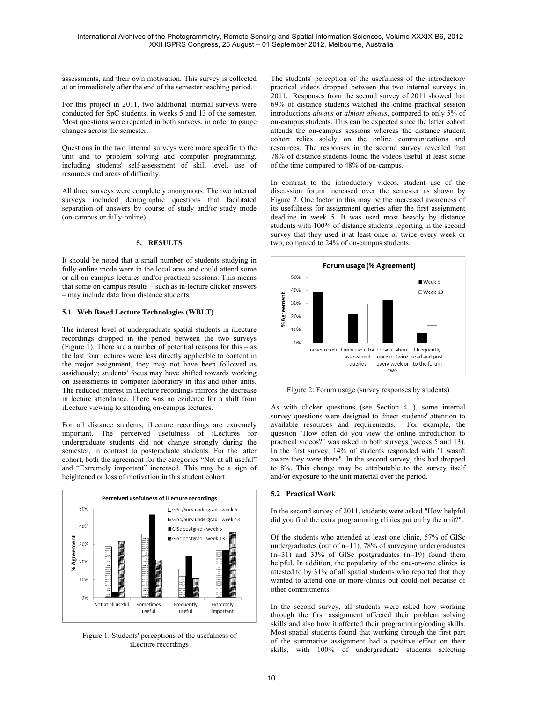assessments, and their own motivation. This survey is collected at or immediately after the end of the semester teaching period.

For this project in 2011, two additional internal surveys were conducted for SpC students, in weeks 5 and 13 of the semester. Most questions were repeated in both surveys, in order to gauge changes across the semester.

Questions in the two internal surveys were more specific to the unit and to problem solving and computer programming, including students' self-assessment of skill level, use of resources and areas of difficulty.

All three surveys were completely anonymous. The two internal surveys included demographic questions that facilitated separation of answers by course of study and/or study mode (on-campus or fully-online).

# **5. RESULTS**

It should be noted that a small number of students studying in fully-online mode were in the local area and could attend some or all on-campus lectures and/or practical sessions. This means that some on-campus results – such as in-lecture clicker answers – may include data from distance students.

## **5.1 Web Based Lecture Technologies (WBLT)**

The interest level of undergraduate spatial students in iLecture recordings dropped in the period between the two surveys (Figure 1). There are a number of potential reasons for this – as the last four lectures were less directly applicable to content in the major assignment, they may not have been followed as assiduously; students' focus may have shifted towards working on assessments in computer laboratory in this and other units. The reduced interest in iLecture recordings mirrors the decrease in lecture attendance. There was no evidence for a shift from iLecture viewing to attending on-campus lectures.

For all distance students, iLecture recordings are extremely important. The perceived usefulness of iLectures for undergraduate students did not change strongly during the semester, in contrast to postgraduate students. For the latter cohort, both the agreement for the categories "Not at all useful" and "Extremely important" increased. This may be a sign of heightened or loss of motivation in this student cohort.



Figure 1: Students' perceptions of the usefulness of iLecture recordings

The students' perception of the usefulness of the introductory practical videos dropped between the two internal surveys in 2011. Responses from the second survey of 2011 showed that 69% of distance students watched the online practical session introductions *always* or *almost always*, compared to only 5% of on-campus students. This can be expected since the latter cohort attends the on-campus sessions whereas the distance student cohort relies solely on the online communications and resources. The responses in the second survey revealed that 78% of distance students found the videos useful at least some of the time compared to 48% of on-campus.

In contrast to the introductory videos, student use of the discussion forum increased over the semester as shown by Figure 2. One factor in this may be the increased awareness of its usefulness for assignment queries after the first assignment deadline in week 5. It was used most heavily by distance students with 100% of distance students reporting in the second survey that they used it at least once or twice every week or two, compared to 24% of on-campus students.



Figure 2: Forum usage (survey responses by students)

As with clicker questions (see Section 4.1), some internal survey questions were designed to direct students' attention to available resources and requirements. For example, the question "How often do you view the online introduction to practical videos?" was asked in both surveys (weeks 5 and 13). In the first survey, 14% of students responded with "I wasn't aware they were there". In the second survey, this had dropped to 8%. This change may be attributable to the survey itself and/or exposure to the unit material over the period.

# **5.2 Practical Work**

In the second survey of 2011, students were asked "How helpful did you find the extra programming clinics put on by the unit?".

Of the students who attended at least one clinic, 57% of GISc undergraduates (out of n=11), 78% of surveying undergraduates  $(n=31)$  and 33% of GISc postgraduates  $(n=19)$  found them helpful. In addition, the popularity of the one-on-one clinics is attested to by 31% of all spatial students who reported that they wanted to attend one or more clinics but could not because of other commitments.

In the second survey, all students were asked how working through the first assignment affected their problem solving skills and also how it affected their programming/coding skills. Most spatial students found that working through the first part of the summative assignment had a positive effect on their skills, with 100% of undergraduate students selecting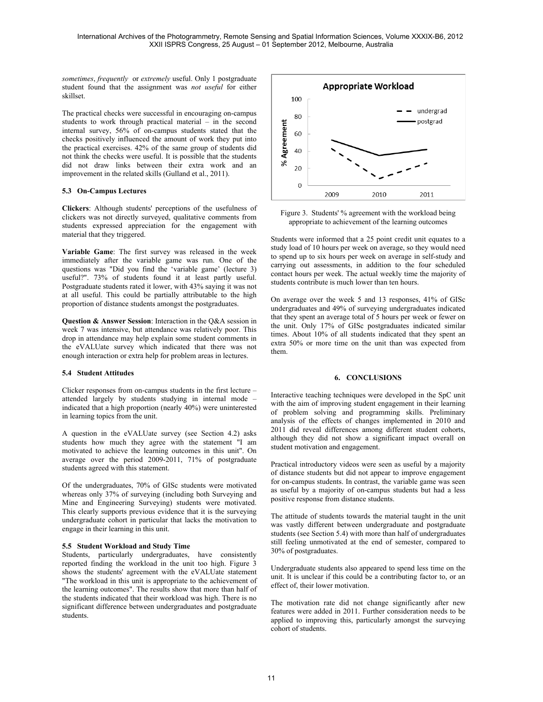*sometimes*, *frequently* or *extremely* useful. Only 1 postgraduate student found that the assignment was *not useful* for either skillset.

The practical checks were successful in encouraging on-campus students to work through practical material – in the second internal survey, 56% of on-campus students stated that the checks positively influenced the amount of work they put into the practical exercises. 42% of the same group of students did not think the checks were useful. It is possible that the students did not draw links between their extra work and an improvement in the related skills (Gulland et al., 2011).

## **5.3 On-Campus Lectures**

**Clickers**: Although students' perceptions of the usefulness of clickers was not directly surveyed, qualitative comments from students expressed appreciation for the engagement with material that they triggered.

**Variable Game**: The first survey was released in the week immediately after the variable game was run. One of the questions was "Did you find the 'variable game' (lecture 3) useful?". 73% of students found it at least partly useful. Postgraduate students rated it lower, with 43% saying it was not at all useful. This could be partially attributable to the high proportion of distance students amongst the postgraduates.

**Question & Answer Session**: Interaction in the Q&A session in week 7 was intensive, but attendance was relatively poor. This drop in attendance may help explain some student comments in the eVALUate survey which indicated that there was not enough interaction or extra help for problem areas in lectures.

#### **5.4 Student Attitudes**

Clicker responses from on-campus students in the first lecture – attended largely by students studying in internal mode – indicated that a high proportion (nearly 40%) were uninterested in learning topics from the unit.

A question in the eVALUate survey (see Section 4.2) asks students how much they agree with the statement "I am motivated to achieve the learning outcomes in this unit". On average over the period 2009-2011, 71% of postgraduate students agreed with this statement.

Of the undergraduates, 70% of GISc students were motivated whereas only 37% of surveying (including both Surveying and Mine and Engineering Surveying) students were motivated. This clearly supports previous evidence that it is the surveying undergraduate cohort in particular that lacks the motivation to engage in their learning in this unit.

# **5.5 Student Workload and Study Time**

Students, particularly undergraduates, have consistently reported finding the workload in the unit too high. Figure 3 shows the students' agreement with the eVALUate statement "The workload in this unit is appropriate to the achievement of the learning outcomes". The results show that more than half of the students indicated that their workload was high. There is no significant difference between undergraduates and postgraduate students.



Figure 3. Students' % agreement with the workload being appropriate to achievement of the learning outcomes

Students were informed that a 25 point credit unit equates to a study load of 10 hours per week on average, so they would need to spend up to six hours per week on average in self-study and carrying out assessments, in addition to the four scheduled contact hours per week. The actual weekly time the majority of students contribute is much lower than ten hours.

On average over the week 5 and 13 responses, 41% of GISc undergraduates and 49% of surveying undergraduates indicated that they spent an average total of 5 hours per week or fewer on the unit. Only 17% of GISc postgraduates indicated similar times. About 10% of all students indicated that they spent an extra 50% or more time on the unit than was expected from them.

#### **6. CONCLUSIONS**

Interactive teaching techniques were developed in the SpC unit with the aim of improving student engagement in their learning of problem solving and programming skills. Preliminary analysis of the effects of changes implemented in 2010 and 2011 did reveal differences among different student cohorts, although they did not show a significant impact overall on student motivation and engagement.

Practical introductory videos were seen as useful by a majority of distance students but did not appear to improve engagement for on-campus students. In contrast, the variable game was seen as useful by a majority of on-campus students but had a less positive response from distance students.

The attitude of students towards the material taught in the unit was vastly different between undergraduate and postgraduate students (see Section 5.4) with more than half of undergraduates still feeling unmotivated at the end of semester, compared to 30% of postgraduates.

Undergraduate students also appeared to spend less time on the unit. It is unclear if this could be a contributing factor to, or an effect of, their lower motivation.

The motivation rate did not change significantly after new features were added in 2011. Further consideration needs to be applied to improving this, particularly amongst the surveying cohort of students.